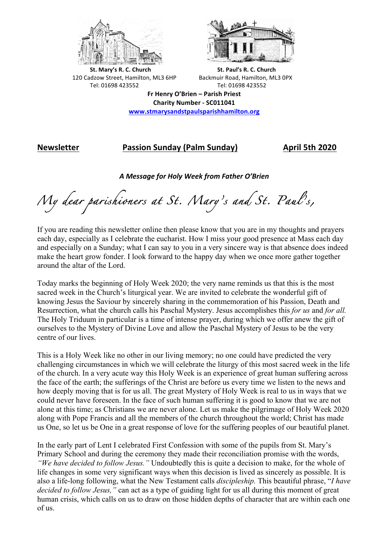



**St.** Mary's R. C. Church St. Paul's R. C. Church 120 Cadzow Street, Hamilton, ML3 6HP Backmuir Road, Hamilton, ML3 0PX Tel: 01698 423552 Tel: 01698 423552

**Fr Henry O'Brien – Parish Priest Charity Number - SC011041 www.stmarysandstpaulsparishhamilton.org**

# **Newsletter Passion Sunday (Palm Sunday) April 5th 2020**

*A Message for Holy Week from Father O'Brien*

*My dear parishioners at St. Mary's and St. Paul's,* 

If you are reading this newsletter online then please know that you are in my thoughts and prayers each day, especially as I celebrate the eucharist. How I miss your good presence at Mass each day and especially on a Sunday; what I can say to you in a very sincere way is that absence does indeed make the heart grow fonder. I look forward to the happy day when we once more gather together around the altar of the Lord.

Today marks the beginning of Holy Week 2020; the very name reminds us that this is the most sacred week in the Church's liturgical year. We are invited to celebrate the wonderful gift of knowing Jesus the Saviour by sincerely sharing in the commemoration of his Passion, Death and Resurrection, what the church calls his Paschal Mystery. Jesus accomplishes this *for us* and *for all.* The Holy Triduum in particular is a time of intense prayer, during which we offer anew the gift of ourselves to the Mystery of Divine Love and allow the Paschal Mystery of Jesus to be the very centre of our lives.

This is a Holy Week like no other in our living memory; no one could have predicted the very challenging circumstances in which we will celebrate the liturgy of this most sacred week in the life of the church. In a very acute way this Holy Week is an experience of great human suffering across the face of the earth; the sufferings of the Christ are before us every time we listen to the news and how deeply moving that is for us all. The great Mystery of Holy Week is real to us in ways that we could never have foreseen. In the face of such human suffering it is good to know that we are not alone at this time; as Christians we are never alone. Let us make the pilgrimage of Holy Week 2020 along with Pope Francis and all the members of the church throughout the world; Christ has made us One, so let us be One in a great response of love for the suffering peoples of our beautiful planet.

In the early part of Lent I celebrated First Confession with some of the pupils from St. Mary's Primary School and during the ceremony they made their reconciliation promise with the words, *"We have decided to follow Jesus."* Undoubtedly this is quite a decision to make, for the whole of life changes in some very significant ways when this decision is lived as sincerely as possible. It is also a life-long following, what the New Testament calls *discipleship.* This beautiful phrase, "*I have decided to follow Jesus,"* can act as a type of guiding light for us all during this moment of great human crisis, which calls on us to draw on those hidden depths of character that are within each one of us.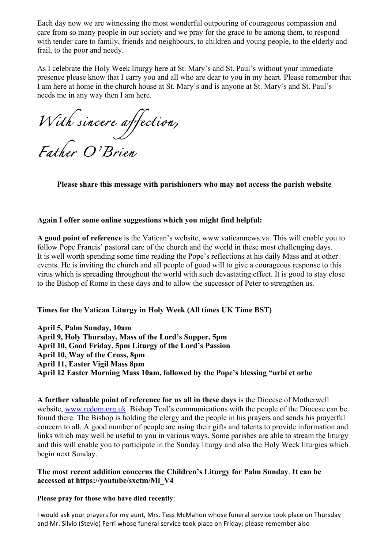Each day now we are witnessing the most wonderful outpouring of courageous compassion and care from so many people in our society and we pray for the grace to be among them, to respond with tender care to family, friends and neighbours, to children and young people, to the elderly and frail, to the poor and needy.

As I celebrate the Holy Week liturgy here at St. Mary's and St. Paul's without your immediate presence please know that I carry you and all who are dear to you in my heart. Please remember that I am here at home in the church house at St. Mary's and is anyone at St. Mary's and St. Paul's needs me in any way then I am here.

*With sincere affection, Father O'Brien* 

**Please share this message with parishioners who may not access the parish website**

## **Again I offer some online suggestions which you might find helpful:**

**A good point of reference** is the Vatican's website, www.vaticannews.va. This will enable you to follow Pope Francis' pastoral care of the church and the world in these most challenging days. It is well worth spending some time reading the Pope's reflections at his daily Mass and at other events. He is inviting the church and all people of good will to give a courageous response to this virus which is spreading throughout the world with such devastating effect. It is good to stay close to the Bishop of Rome in these days and to allow the successor of Peter to strengthen us.

#### **Times for the Vatican Liturgy in Holy Week (All times UK Time BST)**

**April 5, Palm Sunday, 10am April 9, Holy Thursday, Mass of the Lord's Supper, 5pm April 10, Good Friday, 5pm Liturgy of the Lord's Passion April 10, Way of the Cross, 8pm April 11, Easter Vigil Mass 8pm April 12 Easter Morning Mass 10am, followed by the Pope's blessing "urbi et orbe**

**A further valuable point of reference for us all in these days** is the Diocese of Motherwell website, www.rcdom.org.uk. Bishop Toal's communications with the people of the Diocese can be found there. The Bishop is holding the clergy and the people in his prayers and sends his prayerful concern to all. A good number of people are using their gifts and talents to provide information and links which may well be useful to you in various ways. Some parishes are able to stream the liturgy and this will enable you to participate in the Sunday liturgy and also the Holy Week liturgies which begin next Sunday.

### **The most recent addition concerns the Children's Liturgy for Palm Sunday**. **It can be accessed at https://youtube/sxctm/Ml\_V4**

#### **Please pray for those who have died recently**:

I would ask your prayers for my aunt, Mrs. Tess McMahon whose funeral service took place on Thursday and Mr. Silvio (Stevie) Ferri whose funeral service took place on Friday; please remember also